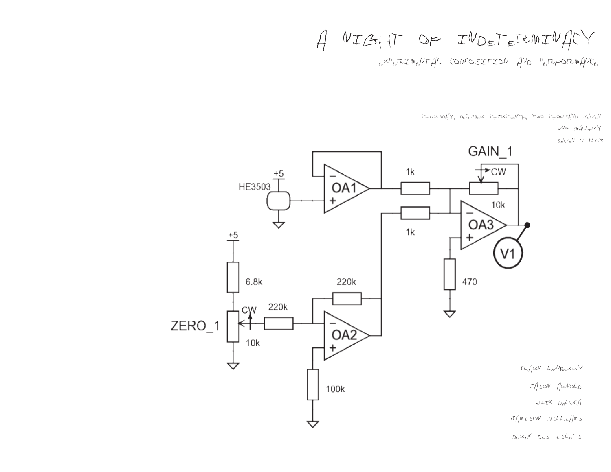$A$  NIGHT OF INDETERMINACY

 $e^{\alpha\beta}e^{\beta\pi\gamma\eta}e^{\beta\gamma\eta}$  composition  $f_{\text{NN}}$  perform $f_{\text{NN}}$ 

 $THWRSDAY$ ,  $DEERTHTHEWTH$ , TWO  $THOWSAWD$   $SeVeW$ 

UNF Gallery

 $S_{\varepsilon}\nabla_{\varepsilon}\Psi$  o' clock